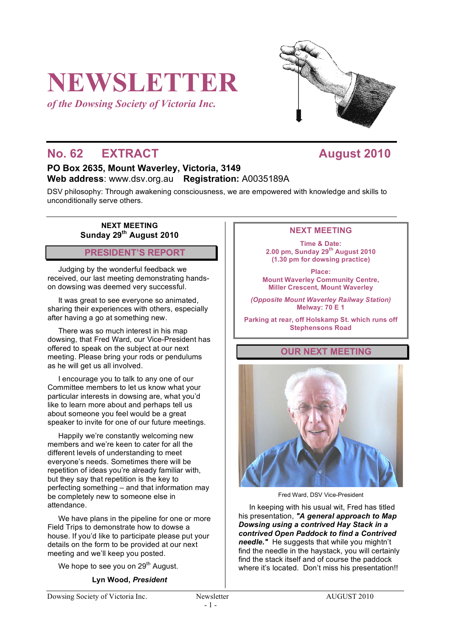# **NEWSLETTER**

*of the Dowsing Society of Victoria Inc.*

# **No. 62 EXTRACT August 2010**

# **PO Box 2635, Mount Waverley, Victoria, 3149 Web address**: www.dsv.org.au **Registration:** A0035189A

DSV philosophy: Through awakening consciousness, we are empowered with knowledge and skills to unconditionally serve others.

**NEXT MEETING Sunday 29th August 2010**

# **PRESIDENT'S REPORT**

Judging by the wonderful feedback we received, our last meeting demonstrating handson dowsing was deemed very successful.

It was great to see everyone so animated, sharing their experiences with others, especially after having a go at something new.

There was so much interest in his map dowsing, that Fred Ward, our Vice-President has offered to speak on the subject at our next meeting. Please bring your rods or pendulums as he will get us all involved.

I encourage you to talk to any one of our Committee members to let us know what your particular interests in dowsing are, what you'd like to learn more about and perhaps tell us about someone you feel would be a great speaker to invite for one of our future meetings.

Happily we're constantly welcoming new members and we're keen to cater for all the different levels of understanding to meet everyone's needs. Sometimes there will be repetition of ideas you're already familiar with, but they say that repetition is the key to perfecting something – and that information may be completely new to someone else in attendance.

We have plans in the pipeline for one or more Field Trips to demonstrate how to dowse a house. If you'd like to participate please put your details on the form to be provided at our next meeting and we'll keep you posted.

We hope to see you on  $29<sup>th</sup>$  August.

# **Lyn Wood,** *President*

### **NEXT MEETING**

**Time & Date: 2.00 pm, Sunday 29th August 2010 (1.30 pm for dowsing practice)**

**Place: Mount Waverley Community Centre, Miller Crescent, Mount Waverley**

*(Opposite Mount Waverley Railway Station)* **Melway: 70 E 1**

**Parking at rear, off Holskamp St. which runs off Stephensons Road**

# **OUR NEXT MEETING**



Fred Ward, DSV Vice-President

In keeping with his usual wit, Fred has titled his presentation, *"A general approach to Map Dowsing using a contrived Hay Stack in a contrived Open Paddock to find a Contrived needle."* He suggests that while you mightn't find the needle in the haystack, you will certainly find the stack itself and of course the paddock where it's located. Don't miss his presentation!!

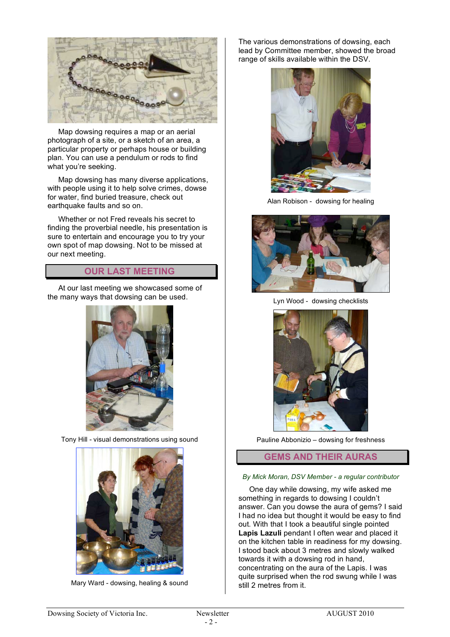

Map dowsing requires a map or an aerial photograph of a site, or a sketch of an area, a particular property or perhaps house or building plan. You can use a pendulum or rods to find what you're seeking.

Map dowsing has many diverse applications, with people using it to help solve crimes, dowse for water, find buried treasure, check out earthquake faults and so on.

Whether or not Fred reveals his secret to finding the proverbial needle, his presentation is sure to entertain and encourage you to try your own spot of map dowsing. Not to be missed at our next meeting.

### **OUR LAST MEETING**

At our last meeting we showcased some of the many ways that dowsing can be used.



Tony Hill - visual demonstrations using sound



Mary Ward - dowsing, healing & sound

The various demonstrations of dowsing, each lead by Committee member, showed the broad range of skills available within the DSV.



Alan Robison - dowsing for healing



Lyn Wood - dowsing checklists



Pauline Abbonizio – dowsing for freshness

**GEMS AND THEIR AURAS**

#### *By Mick Moran, DSV Member - a regular contributor*

One day while dowsing, my wife asked me something in regards to dowsing I couldn't answer. Can you dowse the aura of gems? I said I had no idea but thought it would be easy to find out. With that I took a beautiful single pointed **Lapis Lazuli** pendant I often wear and placed it on the kitchen table in readiness for my dowsing. I stood back about 3 metres and slowly walked towards it with a dowsing rod in hand, concentrating on the aura of the Lapis. I was quite surprised when the rod swung while I was still 2 metres from it.